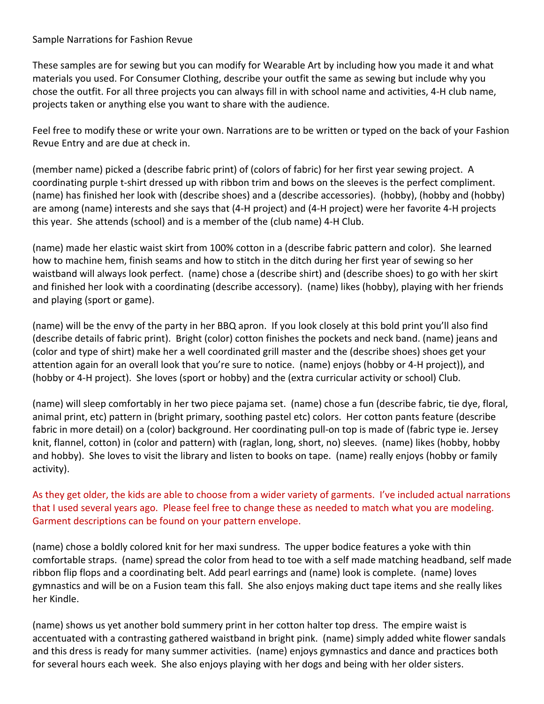## Sample Narrations for Fashion Revue

These samples are for sewing but you can modify for Wearable Art by including how you made it and what materials you used. For Consumer Clothing, describe your outfit the same as sewing but include why you chose the outfit. For all three projects you can always fill in with school name and activities, 4-H club name, projects taken or anything else you want to share with the audience.

Feel free to modify these or write your own. Narrations are to be written or typed on the back of your Fashion Revue Entry and are due at check in.

(member name) picked a (describe fabric print) of (colors of fabric) for her first year sewing project. A coordinating purple t-shirt dressed up with ribbon trim and bows on the sleeves is the perfect compliment. (name) has finished her look with (describe shoes) and a (describe accessories). (hobby), (hobby and (hobby) are among (name) interests and she says that (4-H project) and (4-H project) were her favorite 4-H projects this year. She attends (school) and is a member of the (club name) 4-H Club.

(name) made her elastic waist skirt from 100% cotton in a (describe fabric pattern and color). She learned how to machine hem, finish seams and how to stitch in the ditch during her first year of sewing so her waistband will always look perfect. (name) chose a (describe shirt) and (describe shoes) to go with her skirt and finished her look with a coordinating (describe accessory). (name) likes (hobby), playing with her friends and playing (sport or game).

(name) will be the envy of the party in her BBQ apron. If you look closely at this bold print you'll also find (describe details of fabric print). Bright (color) cotton finishes the pockets and neck band. (name) jeans and (color and type of shirt) make her a well coordinated grill master and the (describe shoes) shoes get your attention again for an overall look that you're sure to notice. (name) enjoys (hobby or 4-H project)), and (hobby or 4-H project). She loves (sport or hobby) and the (extra curricular activity or school) Club.

(name) will sleep comfortably in her two piece pajama set. (name) chose a fun (describe fabric, tie dye, floral, animal print, etc) pattern in (bright primary, soothing pastel etc) colors. Her cotton pants feature (describe fabric in more detail) on a (color) background. Her coordinating pull-on top is made of (fabric type ie. Jersey knit, flannel, cotton) in (color and pattern) with (raglan, long, short, no) sleeves. (name) likes (hobby, hobby and hobby). She loves to visit the library and listen to books on tape. (name) really enjoys (hobby or family activity).

As they get older, the kids are able to choose from a wider variety of garments. I've included actual narrations that I used several years ago. Please feel free to change these as needed to match what you are modeling. Garment descriptions can be found on your pattern envelope.

(name) chose a boldly colored knit for her maxi sundress. The upper bodice features a yoke with thin comfortable straps. (name) spread the color from head to toe with a self made matching headband, self made ribbon flip flops and a coordinating belt. Add pearl earrings and (name) look is complete. (name) loves gymnastics and will be on a Fusion team this fall. She also enjoys making duct tape items and she really likes her Kindle.

(name) shows us yet another bold summery print in her cotton halter top dress. The empire waist is accentuated with a contrasting gathered waistband in bright pink. (name) simply added white flower sandals and this dress is ready for many summer activities. (name) enjoys gymnastics and dance and practices both for several hours each week. She also enjoys playing with her dogs and being with her older sisters.